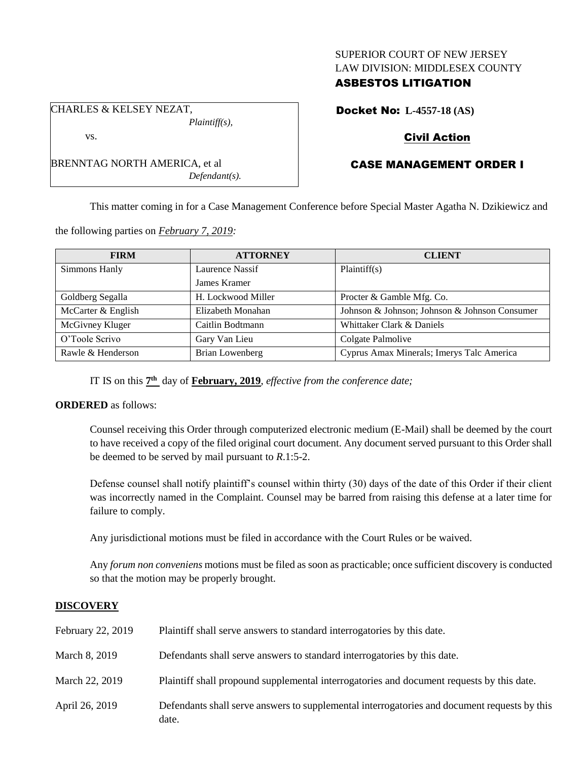## SUPERIOR COURT OF NEW JERSEY LAW DIVISION: MIDDLESEX COUNTY

# ASBESTOS LITIGATION

CHARLES & KELSEY NEZAT, *Plaintiff(s),*

*Defendant(s).*

Docket No: **L-4557-18 (AS)**

# Civil Action

# CASE MANAGEMENT ORDER I

This matter coming in for a Case Management Conference before Special Master Agatha N. Dzikiewicz and

the following parties on *February 7, 2019:*

BRENNTAG NORTH AMERICA, et al

| <b>FIRM</b>        | <b>ATTORNEY</b>    | <b>CLIENT</b>                                 |
|--------------------|--------------------|-----------------------------------------------|
| Simmons Hanly      | Laurence Nassif    | Plaintiff(s)                                  |
|                    | James Kramer       |                                               |
| Goldberg Segalla   | H. Lockwood Miller | Procter & Gamble Mfg. Co.                     |
| McCarter & English | Elizabeth Monahan  | Johnson & Johnson; Johnson & Johnson Consumer |
| McGivney Kluger    | Caitlin Bodtmann   | Whittaker Clark & Daniels                     |
| O'Toole Scrivo     | Gary Van Lieu      | Colgate Palmolive                             |
| Rawle & Henderson  | Brian Lowenberg    | Cyprus Amax Minerals; Imerys Talc America     |

IT IS on this  $7<sup>th</sup>$  day of **February, 2019**, *effective from the conference date*;

## **ORDERED** as follows:

Counsel receiving this Order through computerized electronic medium (E-Mail) shall be deemed by the court to have received a copy of the filed original court document. Any document served pursuant to this Order shall be deemed to be served by mail pursuant to *R*.1:5-2.

Defense counsel shall notify plaintiff's counsel within thirty (30) days of the date of this Order if their client was incorrectly named in the Complaint. Counsel may be barred from raising this defense at a later time for failure to comply.

Any jurisdictional motions must be filed in accordance with the Court Rules or be waived.

Any *forum non conveniens* motions must be filed as soon as practicable; once sufficient discovery is conducted so that the motion may be properly brought.

## **DISCOVERY**

| February 22, 2019 | Plaintiff shall serve answers to standard interrogatories by this date.                               |
|-------------------|-------------------------------------------------------------------------------------------------------|
| March 8, 2019     | Defendants shall serve answers to standard interrogatories by this date.                              |
| March 22, 2019    | Plaintiff shall propound supplemental interrogatories and document requests by this date.             |
| April 26, 2019    | Defendants shall serve answers to supplemental interrogatories and document requests by this<br>date. |

vs.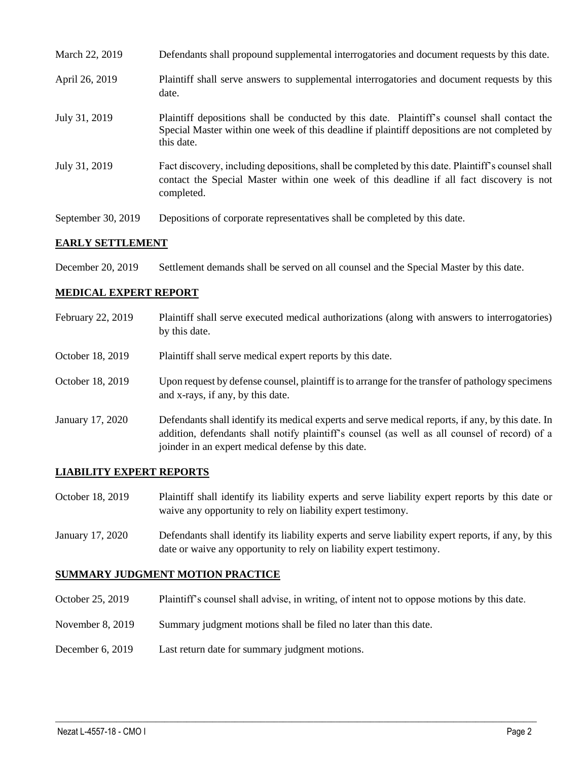| March 22, 2019     | Defendants shall propound supplemental interrogatories and document requests by this date.                                                                                                                  |
|--------------------|-------------------------------------------------------------------------------------------------------------------------------------------------------------------------------------------------------------|
| April 26, 2019     | Plaintiff shall serve answers to supplemental interrogatories and document requests by this<br>date.                                                                                                        |
| July 31, 2019      | Plaintiff depositions shall be conducted by this date. Plaintiff's counsel shall contact the<br>Special Master within one week of this deadline if plaintiff depositions are not completed by<br>this date. |
| July 31, 2019      | Fact discovery, including depositions, shall be completed by this date. Plaintiff's counsel shall<br>contact the Special Master within one week of this deadline if all fact discovery is not<br>completed. |
| September 30, 2019 | Depositions of corporate representatives shall be completed by this date.                                                                                                                                   |

### **EARLY SETTLEMENT**

December 20, 2019 Settlement demands shall be served on all counsel and the Special Master by this date.

# **MEDICAL EXPERT REPORT**

| February 22, 2019 | Plaintiff shall serve executed medical authorizations (along with answers to interrogatories)<br>by this date.                                                                                                                                           |
|-------------------|----------------------------------------------------------------------------------------------------------------------------------------------------------------------------------------------------------------------------------------------------------|
| October 18, 2019  | Plaintiff shall serve medical expert reports by this date.                                                                                                                                                                                               |
| October 18, 2019  | Upon request by defense counsel, plaintiff is to arrange for the transfer of pathology specimens<br>and x-rays, if any, by this date.                                                                                                                    |
| January 17, 2020  | Defendants shall identify its medical experts and serve medical reports, if any, by this date. In<br>addition, defendants shall notify plaintiff's counsel (as well as all counsel of record) of a<br>joinder in an expert medical defense by this date. |

## **LIABILITY EXPERT REPORTS**

October 18, 2019 Plaintiff shall identify its liability experts and serve liability expert reports by this date or waive any opportunity to rely on liability expert testimony.

January 17, 2020 Defendants shall identify its liability experts and serve liability expert reports, if any, by this date or waive any opportunity to rely on liability expert testimony.

# **SUMMARY JUDGMENT MOTION PRACTICE**

October 25, 2019 Plaintiff's counsel shall advise, in writing, of intent not to oppose motions by this date.

 $\_$  ,  $\_$  ,  $\_$  ,  $\_$  ,  $\_$  ,  $\_$  ,  $\_$  ,  $\_$  ,  $\_$  ,  $\_$  ,  $\_$  ,  $\_$  ,  $\_$  ,  $\_$  ,  $\_$  ,  $\_$  ,  $\_$  ,  $\_$  ,  $\_$  ,  $\_$  ,  $\_$  ,  $\_$  ,  $\_$  ,  $\_$  ,  $\_$  ,  $\_$  ,  $\_$  ,  $\_$  ,  $\_$  ,  $\_$  ,  $\_$  ,  $\_$  ,  $\_$  ,  $\_$  ,  $\_$  ,  $\_$  ,  $\_$  ,

- November 8, 2019 Summary judgment motions shall be filed no later than this date.
- December 6, 2019 Last return date for summary judgment motions.